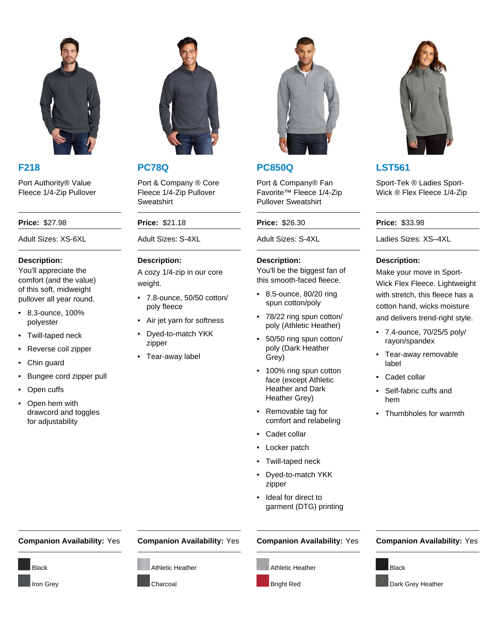

Port Authority® Value Fleece 1/4-Zip Pullover

### **Description:**

You'll appreciate the comfort (and the value) of this soft, midweight pullover all year round.

- 8.3-ounce, 100% polyester
- Twill-taped neck
- Reverse coil zipper
- Chin guard
- Bungee cord zipper pull
- Open cuffs
- Open hem with drawcord and toggles for adjustability



Port & Company ® Core Fleece 1/4-Zip Pullover **Sweatshirt** 

### **Price:** \$27.98 **Price:** \$21.18 **Price:** \$26.30 **Price:** \$33.98

# **Description:**

A cozy 1/4-zip in our core weight.

- 7.8-ounce, 50/50 cotton/ poly fleece
- Air jet yarn for softness
- Dyed-to-match YKK zipper
- Tear-away label



# **F218 PC78Q PC850Q LST561**

Port & Company® Fan Favorite™ Fleece 1/4-Zip Pullover Sweatshirt

## **Description:**

You'll be the biggest fan of this smooth-faced fleece.

- 8.5-ounce, 80/20 ring spun cotton/poly
- 78/22 ring spun cotton/ poly (Athletic Heather)
- 50/50 ring spun cotton/ poly (Dark Heather Grey)
- 100% ring spun cotton face (except Athletic Heather and Dark Heather Grey)
- Removable tag for comfort and relabeling
- Cadet collar
- Locker patch
- Twill-taped neck
- Dyed-to-match YKK zipper
- Ideal for direct to garment (DTG) printing







Sport-Tek ® Ladies Sport-Wick ® Flex Fleece 1/4-Zip

Adult Sizes: XS-6XL Adult Sizes: S-4XL Adult Sizes: S-4XL Ladies Sizes: XS–4XL

## **Description:**

Make your move in Sport-Wick Flex Fleece. Lightweight with stretch, this fleece has a cotton hand, wicks moisture and delivers trend-right style.

- 7.4-ounce, 70/25/5 poly/ rayon/spandex
- Tear-away removable label
- Cadet collar
- Self-fabric cuffs and hem
- Thumbholes for warmth

## **Companion Availability:** Yes **Companion Availability:** Yes **Companion Availability:** Yes **Companion Availability:** Yes



Dark Grey Heather



Iron Grey